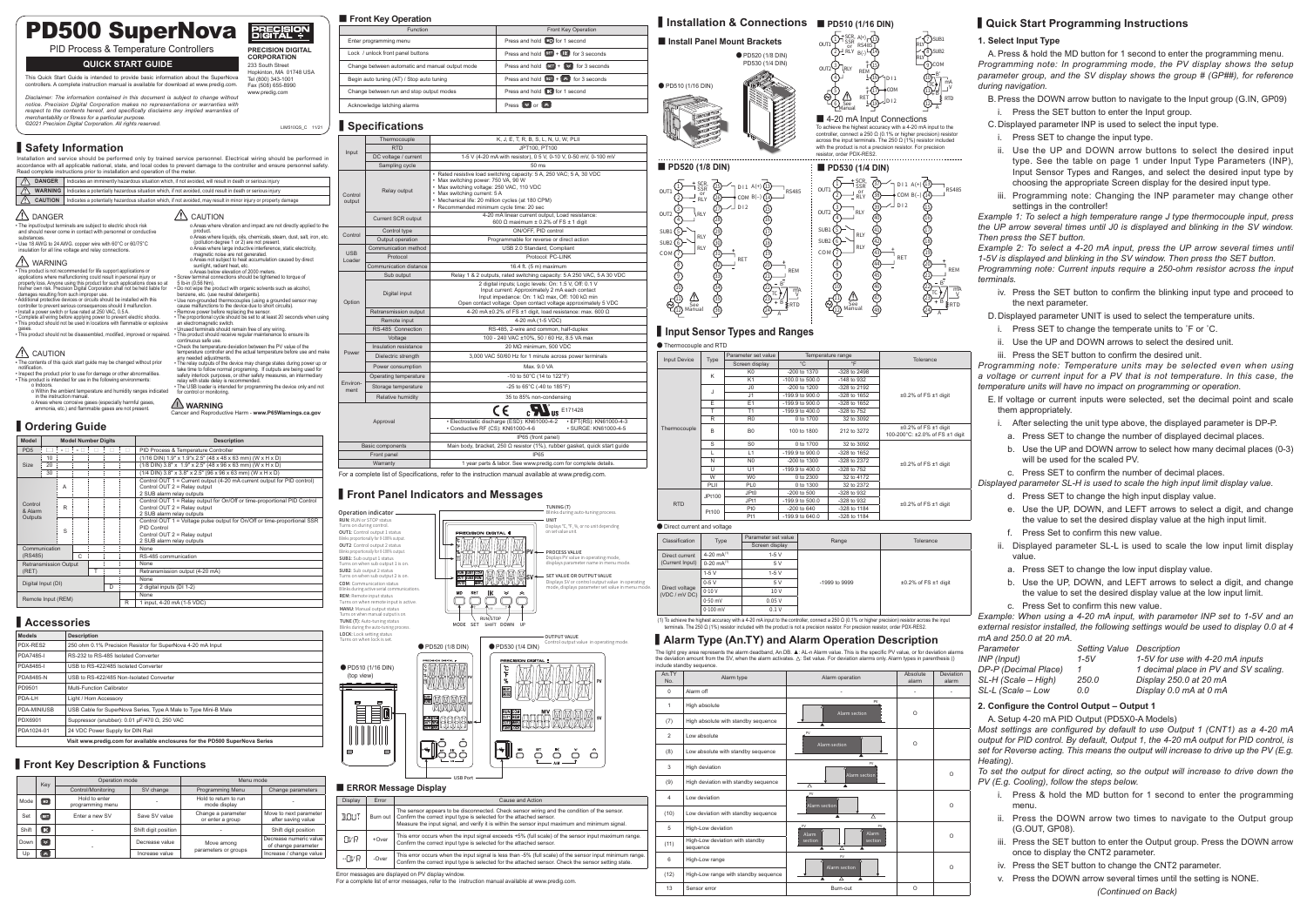

|                     |        | Parameter set value |                 | Temperature range | Tolerance                                                          |  |
|---------------------|--------|---------------------|-----------------|-------------------|--------------------------------------------------------------------|--|
| <b>Input Device</b> | Type   | Screen display      | $^{\circ}$ C    | $\circ$ F         |                                                                    |  |
|                     | K      | K <sub>0</sub>      | -200 to 1370    | -328 to 2498      |                                                                    |  |
|                     |        | K <sub>1</sub>      | -100.0 to 500.0 | -148 to 932       |                                                                    |  |
|                     | J      | 0 <sub>1</sub>      | -200 to 1200    | -328 to 2192      |                                                                    |  |
|                     |        | J <sub>1</sub>      | -199.9 to 900.0 | -328 to 1652      | $\pm 0.2\%$ of FS $\pm 1$ digit                                    |  |
|                     | F      | E1                  | -199.9 to 900.0 | -328 to 1652      |                                                                    |  |
|                     | т      | T1                  | -199.9 to 400.0 | -328 to 752       |                                                                    |  |
|                     | R      | R <sub>0</sub>      | 0 to 1700       | 32 to 3092        |                                                                    |  |
| Thermocouple        | B      | B <sub>0</sub>      | 100 to 1800     | 212 to 3272       | $\pm 0.2\%$ of FS $\pm 1$ digit<br>100-200°C: ±2.0% of FS ±1 digit |  |
|                     | S      | S <sub>0</sub>      | 0 to 1700       | 32 to 3092        |                                                                    |  |
|                     | L      | L1                  | -199.9 to 900.0 | -328 to 1652      |                                                                    |  |
|                     | N      | N <sub>0</sub>      | -200 to 1300    | -328 to 2372      | $\pm 0.2\%$ of FS $\pm 1$ digit                                    |  |
|                     | $\cup$ | U11                 | -199.9 to 400.0 | -328 to 752       |                                                                    |  |
|                     | W      | <b>WO</b>           | 0 to 2300       | 32 to 4172        |                                                                    |  |
|                     | PLII   | PL <sub>0</sub>     | 0 to 1300       | 32 to 2372        |                                                                    |  |
|                     | JPt100 | JP <sub>t0</sub>    | $-200$ to $500$ | -328 to 932       |                                                                    |  |
| <b>RTD</b>          |        | JPt1                | -199.9 to 500.0 | -328 to 932       |                                                                    |  |
|                     | Pt100  | Pt <sub>0</sub>     | $-200$ to $640$ | -328 to 1184      | $\pm 0.2\%$ of FS $\pm 1$ digit                                    |  |
|                     |        | Pt1                 | -199.9 to 640.0 | -328 to 1184      |                                                                    |  |

#### ● Direct current and voltage

| ● Thermocouple and RTD |  |
|------------------------|--|
|------------------------|--|

## **▍Input Sensor Types and Ranges**

13 RS485 L<br>B(-) - (14 †ේ REM<br>16

ርጋት bl\_or<br>2)\_RLY OUT2Y/RLY  $\bigcirc$ 5 6 See L<br><u>Manual</u>

P ≹ RTD A

| Classification                  | Type               | Parameter set value | Range         | Tolerance                       |  |  |
|---------------------------------|--------------------|---------------------|---------------|---------------------------------|--|--|
|                                 |                    | Screen display      |               |                                 |  |  |
| Direct current                  | 4-20 $mA^{(1)}$    | $1-5V$              | -1999 to 9999 |                                 |  |  |
| (Current Input)                 | $0-20$ mA $^{(1)}$ | 5 V                 |               |                                 |  |  |
|                                 | $1-5V$             | $1-5V$              |               | $\pm 0.2\%$ of FS $\pm 1$ digit |  |  |
|                                 | $0-5V$             | 5 V                 |               |                                 |  |  |
| Direct voltage<br>(VDC / mV DC) | $0-10V$            | 10 V                |               |                                 |  |  |
|                                 | $0-50$ mV          | 0.05V               |               |                                 |  |  |
|                                 | $0-100$ mV         | 0.1V                |               |                                 |  |  |
|                                 |                    | .                   | .             | .                               |  |  |

(1) To achieve the highest accuracy with a 4-20 mA input to the controller, connect a 250 Ω (0.1% or higher precision) resistor across the input to the controller, connect a 250 Ω (0.1% or higher precision) resistor acro terminals. The 250 Ω (1%) resistor included with the product is not a precision resistor. For pr

# **▍Installation & Connections** ■ **PD510 (1/16 DIN)**

 SCR, SSR

V

A(+)

**OUT** 

 $\cdot$ 8 9 COM 25<br>TC) 7  $0.71$  $\circledcirc$ 

D I 1

D I 2

SUB1 rly T<br>Z (8)sub2 RLY

## **▍Accessories**

| <b>Models</b>    | <b>Description</b>                                                           |
|------------------|------------------------------------------------------------------------------|
| PDX-RES2         | 250 ohm 0.1% Precision Resistor for SuperNova 4-20 mA Input                  |
| <b>PDA7485-I</b> | RS-232 to RS-485 Isolated Converter                                          |
| PDA8485-I        | USB to RS-422/485 Isolated Converter                                         |
| PDA8485-N        | USB to RS-422/485 Non-Isolated Converter                                     |
| PD9501           | Multi-Function Calibrator                                                    |
| PDA-LH           | Light / Horn Accessory                                                       |
| PDA-MINIUSB      | USB Cable for SuperNova Series, Type A Male to Type Mini-B Male              |
| PDX6901          | Suppressor (snubber): 0.01 μF/470 Ω, 250 VAC                                 |
| PDA1024-01       | 24 VDC Power Supply for DIN Rail                                             |
|                  | Visit www.predig.com for available enclosures for the PD500 SuperNova Series |

| <b>Display</b> | Error    | Cause and Action                                                                                                                                                                                                                                                                |
|----------------|----------|---------------------------------------------------------------------------------------------------------------------------------------------------------------------------------------------------------------------------------------------------------------------------------|
| <b>BOUT</b>    |          | The sensor appears to be disconnected. Check sensor wiring and the condition of the sensor.<br>Burn out   Confirm the correct input type is selected for the attached sensor.<br>Measure the input signal, and verify it is within the sensor input maximum and minimum signal. |
| <b>OVR</b>     | $+0$ ver | This error occurs when the input signal exceeds +5% (full scale) of the sensor input maximum range.<br>Confirm the correct input type is selected for the attached sensor.                                                                                                      |
| ⊹ave           | $-Over$  | This error occurs when the input signal is less than -5% (full scale) of the sensor input minimum range.<br>Confirm the correct input type is selected for the attached sensor. Check the sensor setting state.                                                                 |

### ■ **ERROR Message Display**

Error messages are displayed on PV display window. For a complete list of error messages, refer to the instruction manual available at www.predig.com.

● PD510 (1/16 DIN (top view)

FEO

*Example 2: To select a 4-20 mA input, press the UP arrow several times until 1-5V is displayed and blinking in the SV window. Then press the SET button.*

*Programming note: Current inputs require a 250-ohm resistor across the input terminals.*

### ● PD520 (1/8 DIN) ■ **Install Panel Mount Brackets**

#### ■ **Front Key Operation**

| <b>Function</b>                                 | Front Key Operation                                                    |
|-------------------------------------------------|------------------------------------------------------------------------|
| Enter programming menu                          | Press and hold <b>MD</b> for 1 second                                  |
| Lock / unlock front panel buttons               | Press and hold $\sqrt{8\pi}$ + $\sqrt{100}$ for 3 seconds              |
| Change between automatic and manual output mode | Press and hold $\boxed{\text{SIT}}$ + $\boxed{\text{M}}$ for 3 seconds |
| Begin auto tuning (AT) / Stop auto tuning       | Press and hold $\boxed{\text{SET}} + \boxed{\text{ }}$ for 3 seconds   |
| Change between run and stop output modes        | Press and hold <b>IK</b> for 1 second                                  |
| Acknowledge latching alarms                     | Press $\triangleright$ or $\triangleright$                             |

## **ክ**s

# **▍Front Key Description & Functions**

17) PLOM <u>'-@</u>

|       | Key                | Operation mode                    |                      | Menu mode                              |                                               |  |  |
|-------|--------------------|-----------------------------------|----------------------|----------------------------------------|-----------------------------------------------|--|--|
|       |                    | Control/Monitoring                | SV change            | Programming Menu                       | Change parameters                             |  |  |
| Mode  | MD                 | Hold to enter<br>programming menu |                      | Hold to return to run<br>mode display  |                                               |  |  |
| Set   | <b>SET</b>         | Enter a new SV                    | Save SV value        | Change a parameter<br>or enter a group | Move to next parameter<br>after saving value  |  |  |
| Shift | $\sqrt{1}$         |                                   | Shift digit position |                                        | Shift digit position                          |  |  |
| Down  | $\leq$             |                                   | Decrease value       | Move among                             | Decrease numeric value<br>of change parameter |  |  |
| Up    | $\hat{\mathbb{R}}$ |                                   | Increase value       | parameters or groups                   | Increase / change value                       |  |  |

# **▍Alarm Type (An.TY) and Alarm Operation Description**

The light grey area represents the alarm deadband, An.DB. ▲: AL-n Alarm value. This is the specific PV value, or for deviation alarms<br>the deviation amount from the SV, when the alarm activates. ∆: Set value. For deviation the deviation amount from<br>include standby sequence







|                    |                                                                                                                              |   |                            |   |        |   |                                                                                                                                                                                                                                                                 |                          | Front Key Operati                                                              |
|--------------------|------------------------------------------------------------------------------------------------------------------------------|---|----------------------------|---|--------|---|-----------------------------------------------------------------------------------------------------------------------------------------------------------------------------------------------------------------------------------------------------------------|--------------------------|--------------------------------------------------------------------------------|
|                    |                                                                                                                              |   |                            |   |        |   | <b>PD500 SuperNova</b><br>品品次                                                                                                                                                                                                                                   |                          | Func                                                                           |
|                    |                                                                                                                              |   |                            |   |        |   |                                                                                                                                                                                                                                                                 |                          | Enter programming menu                                                         |
|                    |                                                                                                                              |   |                            |   |        |   | PID Process & Temperature Controllers<br><b>PRECISION DIGITAL</b><br><b>CORPORATION</b>                                                                                                                                                                         |                          | Lock / unlock front panel butt                                                 |
|                    |                                                                                                                              |   |                            |   |        |   | <b>QUICK START GUIDE</b><br>233 South Street                                                                                                                                                                                                                    |                          | Change between automatic a                                                     |
|                    |                                                                                                                              |   |                            |   |        |   | Hopkinton, MA 01748 USA<br>This Quick Start Guide is intended to provide basic information about the SuperNova<br>Tel (800) 343-1001                                                                                                                            |                          | Begin auto tuning (AT) / Stop                                                  |
|                    |                                                                                                                              |   |                            |   |        |   | controllers. A complete instruction manual is available for download at www.predig.com.<br>Fax (508) 655-8990<br>www.predig.com                                                                                                                                 |                          | Change between run and stop                                                    |
|                    |                                                                                                                              |   |                            |   |        |   | Disclaimer: The information contained in this document is subject to change without<br>notice. Precision Digital Corporation makes no representations or warranties with                                                                                        |                          | Acknowledge latching alarms                                                    |
|                    | merchantability or fitness for a particular purpose.                                                                         |   |                            |   |        |   | respect to the contents hereof, and specifically disclaims any implied warranties of                                                                                                                                                                            |                          |                                                                                |
|                    |                                                                                                                              |   |                            |   |        |   | ©2021 Precision Digital Corporation. All rights reserved.<br>LIM510QS_C 11/21                                                                                                                                                                                   |                          | Specifications                                                                 |
|                    |                                                                                                                              |   |                            |   |        |   |                                                                                                                                                                                                                                                                 |                          | Thermocouple                                                                   |
|                    | Safety Information                                                                                                           |   |                            |   |        |   |                                                                                                                                                                                                                                                                 | Input                    | <b>RTD</b>                                                                     |
|                    |                                                                                                                              |   |                            |   |        |   | Installation and service should be performed only by trained service personnel. Electrical wiring should be performed in                                                                                                                                        |                          | DC voltage / curren                                                            |
|                    |                                                                                                                              |   |                            |   |        |   | accordance with all applicable national, state, and local codes to prevent damage to the controller and ensure personnel safety.<br>Read complete instructions prior to installation and operation of the meter.                                                |                          | Sampling cycle                                                                 |
|                    | <b>DANGER</b>                                                                                                                |   |                            |   |        |   | Indicates an imminently hazardous situation which, if not avoided, will result in death or serious injury                                                                                                                                                       |                          |                                                                                |
|                    | <b>WARNING</b>                                                                                                               |   |                            |   |        |   | Indicates a potentially hazardous situation which, if not avoided, could result in death or serious injury                                                                                                                                                      | Control                  | Relay output                                                                   |
|                    | <b>CAUTION</b>                                                                                                               |   |                            |   |        |   | Indicates a potentially hazardous situation which, if not avoided, may result in minor injury or property damage                                                                                                                                                | output                   |                                                                                |
|                    | <b>DANGER</b>                                                                                                                |   |                            |   |        |   | CAUTION                                                                                                                                                                                                                                                         |                          | Current SCR outpu                                                              |
|                    | The input/output terminals are subject to electric shock risk                                                                |   |                            |   |        |   | o Areas where vibration and impact are not directly applied to the                                                                                                                                                                                              |                          |                                                                                |
| substances         | and should never come in contact with personnel or conductive                                                                |   |                            |   |        |   | product.<br>o Areas where liquids, oils, chemicals, steam, dust, salt, iron, etc.                                                                                                                                                                               | Control                  | Control type<br>Output operation                                               |
|                    | Use 18 AWG to 24 AWG. copper wire with 60°C or 60/75°C<br>insulation for all line voltage and relay connections.             |   |                            |   |        |   | (pollution degree 1 or 2) are not present.<br>o Areas where large inductive interference, static electricity,                                                                                                                                                   |                          | Communication meth                                                             |
|                    |                                                                                                                              |   |                            |   |        |   | magnetic noise are not generated.<br>o Areas not subject to heat accumulation caused by direct                                                                                                                                                                  | <b>USB</b><br>Loader     | Protocol                                                                       |
|                    | WARNING<br>This product is not recommended for life support applications or                                                  |   |                            |   |        |   | sunlight, radiant heat, etc.<br>o Areas below elevation of 2000 meters.                                                                                                                                                                                         |                          | Communication distar                                                           |
|                    | applications where malfunctioning could result in personal injury or                                                         |   |                            |   |        |   | · Screw terminal connections should be tightened to torque of<br>property loss. Anyone using this product for such applications does so at<br>5 lb-in (0.56 Nm).                                                                                                |                          | Sub output                                                                     |
|                    | damages resulting from such improper use.                                                                                    |   |                            |   |        |   | his/her own risk. Precision Digital Corporation shall not be held liable for<br>. Do not wipe the product with organic solvents such as alcohol,<br>benzene, etc. (use neutral detergents).                                                                     |                          | Digital input                                                                  |
|                    | Additional protective devices or circuits should be installed with this                                                      |   |                            |   |        |   | • Use non-grounded thermocouples (using a grounded sensor may                                                                                                                                                                                                   | Option                   |                                                                                |
|                    | controller to prevent serious consequences should it malfunction.<br>Install a power switch or fuse rated at 250 VAC, 0.5 A. |   |                            |   |        |   | cause malfunctions to the device due to short circuits).<br>· Remove power before replacing the sensor.                                                                                                                                                         |                          | Retransmission outp                                                            |
|                    |                                                                                                                              |   |                            |   |        |   | · Complete all wiring before applying power to prevent electric shocks.<br>• The proportional cycle should be set to at least 20 seconds when using<br>· This product should not be used in locations with flammable or explosive<br>an electromagnetic switch. |                          | Remote input                                                                   |
| gases              |                                                                                                                              |   |                            |   |        |   | Unused terminals should remain free of any wiring.<br>• This product should receive regular maintenance to ensure its<br>This product should not be disassembled, modified, improved or repaired.                                                               |                          | RS-485 Connectio<br>Voltage                                                    |
|                    |                                                                                                                              |   |                            |   |        |   | continuous safe use.<br>• Check the temperature deviation between the PV value of the                                                                                                                                                                           |                          | Insulation resistanc                                                           |
|                    | CAUTION                                                                                                                      |   |                            |   |        |   | temperature controller and the actual temperature before use and make<br>any needed adjustments.                                                                                                                                                                | Power                    | Dielectric strength                                                            |
| notification.      |                                                                                                                              |   |                            |   |        |   | The contents of this quick start guide may be changed without prior<br>• The relay outputs of the device may change states during power up or<br>take time to follow normal programing. If outputs are being used for                                           |                          | Power consumption                                                              |
|                    | · This product is intended for use in the following environments:                                                            |   |                            |   |        |   | Inspect the product prior to use for damage or other abnormalities.<br>safety interlock purposes, or other safety measures, an intermediary<br>relay with state delay is recommended.                                                                           | Environ-<br>ment         | Operating temperatu                                                            |
|                    | o Indoors.                                                                                                                   |   |                            |   |        |   | • The USB loader is intended for programming the device only and not<br>o Within the ambient temperature and humidity ranges indicated                                                                                                                          |                          | Storage temperatur                                                             |
|                    | in the instruction manual.<br>o Areas where corrosive gases (especially harmful gases,                                       |   |                            |   |        |   | for control or monitoring.                                                                                                                                                                                                                                      |                          | Relative humidity                                                              |
|                    | ammonia, etc.) and flammable gases are not present.                                                                          |   |                            |   |        |   | <b>WARNING</b><br>Cancer and Reproductive Harm - www.P65Warnings.ca.gov                                                                                                                                                                                         |                          |                                                                                |
|                    |                                                                                                                              |   |                            |   |        |   |                                                                                                                                                                                                                                                                 |                          | Approval                                                                       |
|                    | Ordering Guide                                                                                                               |   |                            |   |        |   |                                                                                                                                                                                                                                                                 |                          |                                                                                |
| Model              |                                                                                                                              |   | <b>Model Number Digits</b> |   |        |   | <b>Description</b>                                                                                                                                                                                                                                              |                          | <b>Basic components</b>                                                        |
| PD <sub>5</sub>    | 10                                                                                                                           |   | □ : - □ : - □ :            | □ | ÷<br>п | □ | PID Process & Temperature Controller<br>(1/16 DIN) 1.9" x 1.9" x 2.5" (48 x 48 x 63 mm) (W x H x D)                                                                                                                                                             |                          | Front panel                                                                    |
| Size               | 20                                                                                                                           |   |                            |   |        |   | (1/8 DIN) 3.8" x 1.9" x 2.5" (48 x 96 x 63 mm) (W x H x D)                                                                                                                                                                                                      |                          | Warranty                                                                       |
|                    | 30                                                                                                                           |   |                            |   |        |   | (1/4 DIN) 3.8" x 3.8" x 2.5" (96 x 96 x 63 mm) (W x H x D)                                                                                                                                                                                                      |                          | For a complete list of Specific                                                |
|                    |                                                                                                                              | Α |                            |   |        |   | Control OUT 1 = Current output (4-20 mA current output for PID control)<br>Control OUT 2 = Relay output                                                                                                                                                         |                          |                                                                                |
|                    |                                                                                                                              |   |                            |   |        |   | 2 SUB alarm relay outputs<br>Control OUT 1 = Relay output for On/Off or time-proportional PID Control                                                                                                                                                           |                          | Front Panel In                                                                 |
| Control<br>& Alarm |                                                                                                                              | R |                            |   |        |   | Control OUT 2 = Relay output                                                                                                                                                                                                                                    |                          |                                                                                |
| Outputs            |                                                                                                                              |   |                            |   |        |   | 2 SUB alarm relay outputs<br>Control OUT 1 = Voltage pulse output for On/Off or time-proportional SSR                                                                                                                                                           |                          | Operation indicator –<br>RUN: RUN or STOP status                               |
|                    |                                                                                                                              | S |                            |   |        |   | PID Control<br>Control OUT 2 = Relay output                                                                                                                                                                                                                     | Turns on during control. | <b>OUT1:</b> Control output 1 status                                           |
|                    |                                                                                                                              |   |                            |   |        |   | 2 SUB alarm relay outputs                                                                                                                                                                                                                                       |                          | Blinks proportionally for 0-100% output.<br>OUT2: Control output 2 status      |
|                    | Communication<br>(RS485)                                                                                                     |   | C                          |   |        |   | None<br>RS-485 communication                                                                                                                                                                                                                                    |                          | Blinks proportionally for 0-100% output.                                       |
|                    | <b>Retransmission Output</b>                                                                                                 |   |                            |   |        |   | None                                                                                                                                                                                                                                                            |                          | SUB1: Sub output 1 status<br>Turns on when sub output 1 is on.                 |
| (RET)              |                                                                                                                              |   |                            | т |        |   | Retransmission output (4-20 mA)                                                                                                                                                                                                                                 |                          | SUB2: Sub output 2 status<br>Turns on when sub output 2 is on.                 |
|                    | Digital Input (DI)                                                                                                           |   |                            |   | D      |   | None<br>2 digital inputs (DI 1-2)                                                                                                                                                                                                                               |                          | <b>COM:</b> Communication status                                               |
|                    | Remote Input (REM)                                                                                                           |   |                            |   |        |   | None                                                                                                                                                                                                                                                            |                          | Blinks during active serial communications.<br><b>REM:</b> Remote input status |
|                    |                                                                                                                              |   |                            |   |        | R | 1 input, 4-20 mA (1-5 VDC)                                                                                                                                                                                                                                      |                          | Turns on when remote input is active.<br>MANU: Manual output status            |
|                    |                                                                                                                              |   |                            |   |        |   |                                                                                                                                                                                                                                                                 |                          | Turns on when manual output is on.                                             |
|                    | <b>Accessories</b>                                                                                                           |   |                            |   |        |   |                                                                                                                                                                                                                                                                 |                          | TUNE (T): Auto-tuning status                                                   |





USB Port

## **1. Select Input Type**

A. Press & hold the MD button for 1 second to enter the programming menu. *Programming note: In programming mode, the PV display shows the setup parameter group, and the SV display shows the group # (GP##), for reference during navigation.*

B. Press the DOWN arrow button to navigate to the Input group (G.IN, GP09) i. Press the SET button to enter the Input group.

C.Displayed parameter INP is used to select the input type.

- i. Press SET to change the input type.
- ii. Use the UP and DOWN arrow buttons to select the desired input type. See the table on page 1 under Input Type Parameters (INP), Input Sensor Types and Ranges, and select the desired input type by choosing the appropriate Screen display for the desired input type.
- iii. Programming note: Changing the INP parameter may change other settings in the controller!

*Example 1: To select a high temperature range J type thermocouple input, press the UP arrow several times until J0 is displayed and blinking in the SV window. Then press the SET button.*

iv. Press the SET button to confirm the blinking input type and proceed to the next parameter.

D.Displayed parameter UNIT is used to select the temperature units.

- i. Press SET to change the temperate units to ˚F or ˚C.
- ii. Use the UP and DOWN arrows to select the desired unit.

iii. Press the SET button to confirm the desired unit.

*Programming note: Temperature units may be selected even when using a voltage or current input for a PV that is not temperature. In this case, the temperature units will have no impact on programming or operation.* 

- E. If voltage or current inputs were selected, set the decimal point and scale them appropriately.
- i. After selecting the unit type above, the displayed parameter is DP-P.
- a. Press SET to change the number of displayed decimal places.
- b. Use the UP and DOWN arrow to select how many decimal places (0-3) will be used for the scaled PV.
- c. Press SET to confirm the number of decimal places.

*Displayed parameter SL-H is used to scale the high input limit display value.*

- d. Press SET to change the high input display value.
- e. Use the UP, DOWN, and LEFT arrows to select a digit, and change the value to set the desired display value at the high input limit.
- f. Press Set to confirm this new value.
- ii. Displayed parameter SL-L is used to scale the low input limit display value.
- a. Press SET to change the low input display value.
- b. Use the UP, DOWN, and LEFT arrows to select a digit, and change the value to set the desired display value at the low input limit.
- c. Press Set to confirm this new value.

*Example: When using a 4-20 mA input, with parameter INP set to 1-5V and an external resistor installed, the following settings would be used to display 0.0 at 4 mA and 250.0 at 20 mA.*

| Parameter            | Setting Value Description |                                       |
|----------------------|---------------------------|---------------------------------------|
| INP (Input)          | $1-5V$                    | 1-5V for use with 4-20 mA inputs      |
| DP-P (Decimal Place) |                           | 1 decimal place in PV and SV scaling. |
| SL-H (Scale – High)  | 250.0                     | Display 250.0 at 20 mA                |
| SL-L (Scale – Low    | 0.0                       | Display 0.0 mA at 0 mA                |

## **2. Configure the Control Output – Output 1**

A. Setup 4-20 mA PID Output (PD5X0-A Models)

*Most settings are configured by default to use Output 1 (CNT1) as a 4-20 mA output for PID control. By default, Output 1, the 4-20 mA output for PID control, is set for Reverse acting. This means the output will increase to drive up the PV (E.g. Heating).*

*To set the output for direct acting, so the output will increase to drive down the PV (E.g. Cooling), follow the steps below.*

- i. Press & hold the MD button for 1 second to enter the programming menu.
- ii. Press the DOWN arrow two times to navigate to the Output group (G.OUT, GP08).
- iii. Press the SET button to enter the Output group. Press the DOWN arrow once to display the CNT2 parameter.
- iv. Press the SET button to change the CNT2 parameter.
- v. Press the DOWN arrow several times until the setting is NONE.

## **▍Quick Start Programming Instructions**

*(Continued on Back)*

| Thermocouple           | K, J, E, T, R, B, S, L, N, U, W, PLII                                                                                                                                                                                                                                                     |  |  |  |  |
|------------------------|-------------------------------------------------------------------------------------------------------------------------------------------------------------------------------------------------------------------------------------------------------------------------------------------|--|--|--|--|
| <b>RTD</b>             | JPT100, PT100                                                                                                                                                                                                                                                                             |  |  |  |  |
| DC voltage / current   | 1-5 V (4-20 mA with resistor), 0 5 V, 0-10 V, 0-50 mV, 0-100 mV                                                                                                                                                                                                                           |  |  |  |  |
| Sampling cycle         | $50$ ms                                                                                                                                                                                                                                                                                   |  |  |  |  |
| Relay output           | • Rated resistive load switching capacity: 5 A, 250 VAC; 5 A, 30 VDC<br>• Max switching power: 750 VA, 90 W<br>• Max switching voltage: 250 VAC, 110 VDC<br>• Max switching current: 5 A<br>• Mechanical life: 20 million cycles (at 180 CPM)<br>· Recommended minimum cycle time: 20 sec |  |  |  |  |
| Current SCR output     | 4-20 mA linear current output, Load resistance:<br>600 $\Omega$ maximum ± 0.2% of FS ± 1 digit                                                                                                                                                                                            |  |  |  |  |
| Control type           | ON/OFF, PID control                                                                                                                                                                                                                                                                       |  |  |  |  |
| Output operation       | Programmable for reverse or direct action                                                                                                                                                                                                                                                 |  |  |  |  |
| Communication method   | USB 2.0 Standard, Compliant                                                                                                                                                                                                                                                               |  |  |  |  |
| Protocol               | Protocol: PC-LINK                                                                                                                                                                                                                                                                         |  |  |  |  |
| Communication distance | 16.4 ft. (5 m) maximum                                                                                                                                                                                                                                                                    |  |  |  |  |
| Sub output             | Relay 1 & 2 outputs, rated switching capacity: 5 A 250 VAC, 5 A 30 VDC                                                                                                                                                                                                                    |  |  |  |  |
| Digital input          | 2 digital inputs; Logic levels: On: 1.5 V, Off: 0.1 V<br>Input current: Approximately 2 mA each contact<br>Input impedance: On: 1 kΩ max, Off: 100 kΩ min<br>Open contact voltage: Open contact voltage approximately 5 VDC                                                               |  |  |  |  |
| Retransmission output  | 4-20 mA ±0.2% of FS ±1 digit, load resistance: max. 600 Ω                                                                                                                                                                                                                                 |  |  |  |  |
| Remote input           | 4-20 mA (1-5 VDC)                                                                                                                                                                                                                                                                         |  |  |  |  |
| RS-485 Connection      | RS-485, 2-wire and common, half-duplex                                                                                                                                                                                                                                                    |  |  |  |  |
| Voltage                | 100 - 240 VAC ±10%, 50 / 60 Hz, 8.5 VA max                                                                                                                                                                                                                                                |  |  |  |  |
| Insulation resistance  | 20 MΩ minimum, 500 VDC                                                                                                                                                                                                                                                                    |  |  |  |  |
| Dielectric strength    | 3,000 VAC 50/60 Hz for 1 minute across power terminals                                                                                                                                                                                                                                    |  |  |  |  |
| Power consumption      | Max. 9.0 VA                                                                                                                                                                                                                                                                               |  |  |  |  |
| Operating temperature  | -10 to 50°C (14 to 122°F)                                                                                                                                                                                                                                                                 |  |  |  |  |
| Storage temperature    | -25 to 65°C (-40 to 185°F)                                                                                                                                                                                                                                                                |  |  |  |  |
| Relative humidity      | 35 to 85% non-condensing                                                                                                                                                                                                                                                                  |  |  |  |  |
|                        | $\mathbf{c}$ Mus E171428<br>CE<br>· Electrostatic discharge (ESD): KN61000-4-2<br>• EFT(RS): KN61000-4-3                                                                                                                                                                                  |  |  |  |  |
|                        | • Conductive RF (CS): KN61000-4-6<br>· SURGE: KN61000-4-5                                                                                                                                                                                                                                 |  |  |  |  |
|                        | IP65 (front panel)                                                                                                                                                                                                                                                                        |  |  |  |  |
|                        | Main body, bracket, 250 Ω resistor (1%), rubber gasket, quick start guide                                                                                                                                                                                                                 |  |  |  |  |
|                        | <b>IP65</b>                                                                                                                                                                                                                                                                               |  |  |  |  |
|                        | 1 year parts & labor. See www.predig.com for complete details.                                                                                                                                                                                                                            |  |  |  |  |
|                        | Approval<br>Basic components<br>Front panel<br>Warranty                                                                                                                                                                                                                                   |  |  |  |  |

## ecifications, refer to the instruction manual available at www.predig.com.

## **Indicators and Messages**

A

RET



See Manual

RTD

A

B' TC